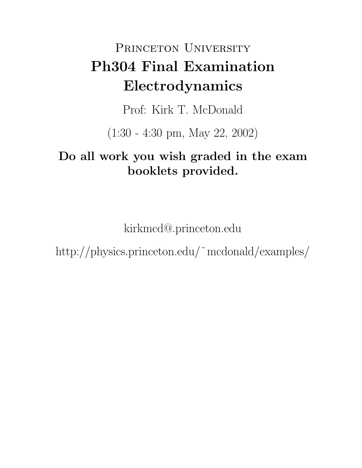# PRINCETON UNIVERSITY **Ph304 Final Examination Electrodynamics**

Prof: Kirk T. McDonald

(1:30 - 4:30 pm, May 22, 2002)

## **Do all work you wish graded in the exam booklets provided.**

kirkmcd@.princeton.edu

http://physics.princeton.edu/˜mcdonald/examples/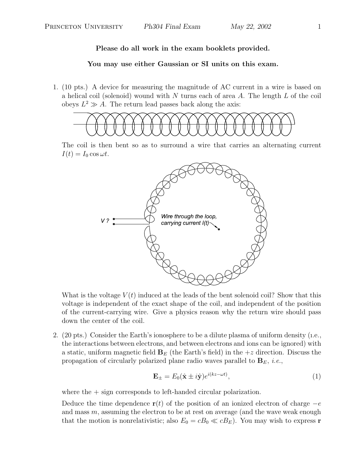#### **You may use either Gaussian or SI units on this exam.**

1. (10 pts.) A device for measuring the magnitude of AC current in a wire is based on a helical coil (solenoid) wound with  $N$  turns each of area  $A$ . The length  $L$  of the coil obeys  $L^2 \gg A$ . The return lead passes back along the axis:



The coil is then bent so as to surround a wire that carries an alternating current  $I(t) = I_0 \cos \omega t$ .



What is the voltage  $V(t)$  induced at the leads of the bent solenoid coil? Show that this voltage is independent of the exact shape of the coil, and independent of the position of the current-carrying wire. Give a physics reason why the return wire should pass down the center of the coil.

2. (20 pts.) Consider the Earth's ionosphere to be a dilute plasma of uniform density (ı.e., the interactions between electrons, and between electrons and ions can be ignored) with a static, uniform magnetic field  $\mathbf{B}_E$  (the Earth's field) in the  $+z$  direction. Discuss the propagation of circularly polarized plane radio waves parallel to  $\mathbf{B}_E$ , *i.e.*,

$$
\mathbf{E}_{\pm} = E_0(\hat{\mathbf{x}} \pm i\hat{\mathbf{y}})e^{i(kz - \omega t)},\tag{1}
$$

where the  $+$  sign corresponds to left-handed circular polarization.

Deduce the time dependence **r**(t) of the position of an ionized electron of charge  $-e$ and mass  $m$ , assuming the electron to be at rest on average (and the wave weak enough that the motion is nonrelativistic; also  $E_0 = cB_0 \ll cB_E$ ). You may wish to express **r**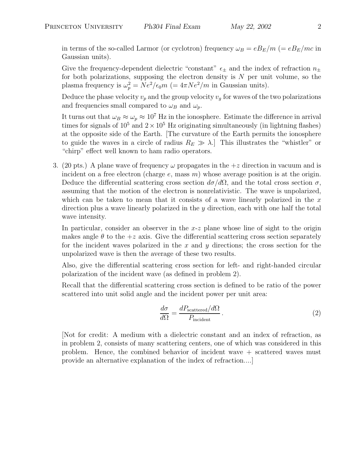in terms of the so-called Larmor (or cyclotron) frequency  $\omega_B = eB_E/m$  (=  $eB_E/mc$  in Gaussian units).

Give the frequency-dependent dielectric "constant"  $\epsilon_{\pm}$  and the index of refraction  $n_{\pm}$ for both polarizations, supposing the electron density is  $N$  per unit volume, so the plasma frequency is  $\omega_p^2 = Ne^2/\epsilon_0 m$  (=  $4\pi Ne^2/m$  in Gaussian units).

Deduce the phase velocity  $v_p$  and the group velocity  $v_q$  for waves of the two polarizations and frequencies small compared to  $\omega_B$  and  $\omega_p$ .

It turns out that  $\omega_B \approx \omega_p \approx 10^7$  Hz in the ionosphere. Estimate the difference in arrival times for signals of  $10^5$  and  $2 \times 10^5$  Hz originating simultaneously (in lightning flashes) at the opposite side of the Earth. [The curvature of the Earth permits the ionosphere to guide the waves in a circle of radius  $R_E \gg \lambda$ . This illustrates the "whistler" or "chirp" effect well known to ham radio operators.

3. (20 pts.) A plane wave of frequency  $\omega$  propagates in the  $+z$  direction in vacuum and is incident on a free electron (charge  $e$ , mass  $m$ ) whose average position is at the origin. Deduce the differential scattering cross section  $d\sigma/d\Omega$ , and the total cross section  $\sigma$ , assuming that the motion of the electron is nonrelativistic. The wave is unpolarized, which can be taken to mean that it consists of a wave linearly polarized in the  $x$ direction plus a wave linearly polarized in the  $\gamma$  direction, each with one half the total wave intensity.

In particular, consider an observer in the  $x-z$  plane whose line of sight to the origin makes angle  $\theta$  to the  $+z$  axis. Give the differential scattering cross section separately for the incident waves polarized in the  $x$  and  $y$  directions; the cross section for the unpolarized wave is then the average of these two results.

Also, give the differential scattering cross section for left- and right-handed circular polarization of the incident wave (as defined in problem 2).

Recall that the differential scattering cross section is defined to be ratio of the power scattered into unit solid angle and the incident power per unit area:

$$
\frac{d\sigma}{d\Omega} = \frac{dP_{\text{scattered}}/d\Omega}{P_{\text{incident}}}.
$$
\n(2)

[Not for credit: A medium with a dielectric constant and an index of refraction, as in problem 2, consists of many scattering centers, one of which was considered in this problem. Hence, the combined behavior of incident wave + scattered waves must provide an alternative explanation of the index of refraction....]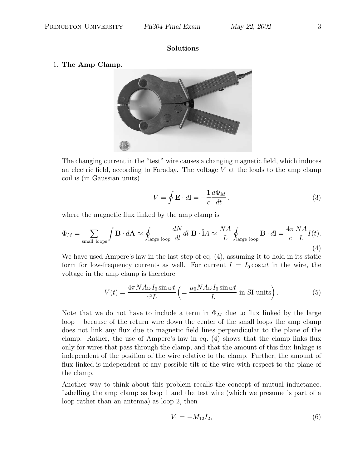#### **Solutions**

#### 1. **The Amp Clamp.**



The changing current in the "test" wire causes a changing magnetic field, which induces an electric field, according to Faraday. The voltage  $V$  at the leads to the amp clamp coil is (in Gaussian units)

$$
V = \oint \mathbf{E} \cdot d\mathbf{l} = -\frac{1}{c} \frac{d\Phi_M}{dt},
$$
\n(3)

where the magnetic flux linked by the amp clamp is

$$
\Phi_M = \sum_{\text{small loops}} \int \mathbf{B} \cdot d\mathbf{A} \approx \oint_{\text{large loop}} \frac{dN}{dl} dl \mathbf{B} \cdot \hat{\mathbf{l}} A \approx \frac{NA}{L} \oint_{\text{large loop}} \mathbf{B} \cdot d\mathbf{l} = \frac{4\pi}{c} \frac{NA}{L} I(t).
$$
\n(4)

We have used Ampere's law in the last step of eq. (4), assuming it to hold in its static form for low-frequency currents as well. For current  $I = I_0 \cos \omega t$  in the wire, the voltage in the amp clamp is therefore

$$
V(t) = \frac{4\pi N A \omega I_0 \sin \omega t}{c^2 L} \left( = \frac{\mu_0 N A \omega I_0 \sin \omega t}{L} \text{ in SI units} \right).
$$
 (5)

Note that we do not have to include a term in  $\Phi_M$  due to flux linked by the large loop – because of the return wire down the center of the small loops the amp clamp does not link any flux due to magnetic field lines perpendicular to the plane of the clamp. Rather, the use of Ampere's law in eq. (4) shows that the clamp links flux only for wires that pass through the clamp, and that the amount of this flux linkage is independent of the position of the wire relative to the clamp. Further, the amount of flux linked is independent of any possible tilt of the wire with respect to the plane of the clamp.

Another way to think about this problem recalls the concept of mutual inductance. Labelling the amp clamp as loop 1 and the test wire (which we presume is part of a loop rather than an antenna) as loop 2, then

$$
V_1 = -M_{12}\dot{I}_2,\t\t(6)
$$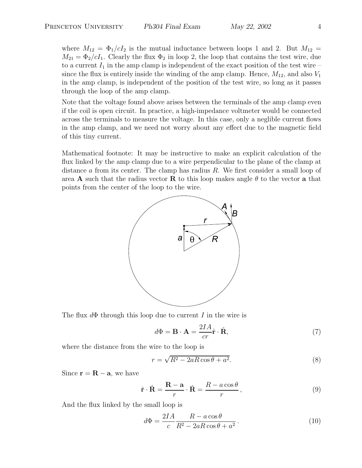where  $M_{12} = \Phi_1/cI_2$  is the mutual inductance between loops 1 and 2. But  $M_{12} =$  $M_{21} = \Phi_2/cI_1$ . Clearly the flux  $\Phi_2$  in loop 2, the loop that contains the test wire, due to a current  $I_1$  in the amp clamp is independent of the exact position of the test wire – since the flux is entirely inside the winding of the amp clamp. Hence,  $M_{12}$ , and also  $V_1$ in the amp clamp, is independent of the position of the test wire, so long as it passes through the loop of the amp clamp.

Note that the voltage found above arises between the terminals of the amp clamp even if the coil is open circuit. In practice, a high-impedance voltmeter would be connected across the terminals to measure the voltage. In this case, only a neglible current flows in the amp clamp, and we need not worry about any effect due to the magnetic field of this tiny current.

Mathematical footnote: It may be instructive to make an explicit calculation of the flux linked by the amp clamp due to a wire perpendicular to the plane of the clamp at distance  $\alpha$  from its center. The clamp has radius  $R$ . We first consider a small loop of area **A** such that the radius vector **R** to this loop makes angle  $\theta$  to the vector **a** that points from the center of the loop to the wire.



The flux  $d\Phi$  through this loop due to current I in the wire is

$$
d\Phi = \mathbf{B} \cdot \mathbf{A} = \frac{2IA}{cr}\hat{\mathbf{r}} \cdot \hat{\mathbf{R}},\tag{7}
$$

where the distance from the wire to the loop is

$$
r = \sqrt{R^2 - 2aR\cos\theta + a^2}.
$$
 (8)

Since  $\mathbf{r} = \mathbf{R} - \mathbf{a}$ , we have

$$
\hat{\mathbf{r}} \cdot \hat{\mathbf{R}} = \frac{\mathbf{R} - \mathbf{a}}{r} \cdot \hat{\mathbf{R}} = \frac{R - a \cos \theta}{r},
$$
\n(9)

And the flux linked by the small loop is

$$
d\Phi = \frac{2IA}{c} \frac{R - a\cos\theta}{R^2 - 2aR\cos\theta + a^2}.
$$
 (10)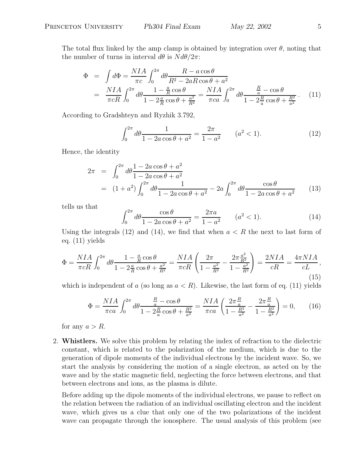The total flux linked by the amp clamp is obtained by integration over  $\theta$ , noting that the number of turns in interval  $d\theta$  is  $N d\theta/2\pi$ :

$$
\Phi = \int d\Phi = \frac{NIA}{\pi c} \int_0^{2\pi} d\theta \frac{R - a\cos\theta}{R^2 - 2aR\cos\theta + a^2} \n= \frac{NIA}{\pi cR} \int_0^{2\pi} d\theta \frac{1 - \frac{a}{R}\cos\theta}{1 - 2\frac{a}{R}\cos\theta + \frac{a^2}{R^2}} = \frac{NIA}{\pi ca} \int_0^{2\pi} d\theta \frac{\frac{R}{a} - \cos\theta}{1 - 2\frac{R}{a}\cos\theta + \frac{R^2}{a^2}}.
$$
\n(11)

According to Gradshteyn and Ryzhik 3.792,

$$
\int_0^{2\pi} d\theta \frac{1}{1 - 2a\cos\theta + a^2} = \frac{2\pi}{1 - a^2} \qquad (a^2 < 1). \tag{12}
$$

Hence, the identity

$$
2\pi = \int_0^{2\pi} d\theta \frac{1 - 2a\cos\theta + a^2}{1 - 2a\cos\theta + a^2}
$$
  
=  $(1 + a^2) \int_0^{2\pi} d\theta \frac{1}{1 - 2a\cos\theta + a^2} - 2a \int_0^{2\pi} d\theta \frac{\cos\theta}{1 - 2a\cos\theta + a^2}$  (13)

tells us that

$$
\int_0^{2\pi} d\theta \frac{\cos \theta}{1 - 2a \cos \theta + a^2} = \frac{2\pi a}{1 - a^2} \qquad (a^2 < 1). \tag{14}
$$

Using the integrals (12) and (14), we find that when  $a < R$  the next to last form of eq. (11) yields

$$
\Phi = \frac{NIA}{\pi cR} \int_0^{2\pi} d\theta \frac{1 - \frac{a}{R}\cos\theta}{1 - 2\frac{a}{R}\cos\theta + \frac{a^2}{R^2}} = \frac{NIA}{\pi cR} \left( \frac{2\pi}{1 - \frac{a^2}{R^2}} - \frac{2\pi \frac{a^2}{R^2}}{1 - \frac{a^2}{R^2}} \right) = \frac{2NIA}{cR} = \frac{4\pi NIA}{cL},\tag{15}
$$

which is independent of a (so long as  $a < R$ ). Likewise, the last form of eq. (11) yields

$$
\Phi = \frac{NIA}{\pi ca} \int_0^{2\pi} d\theta \frac{\frac{R}{a} - \cos\theta}{1 - 2\frac{R}{a}\cos\theta + \frac{R^2}{a^2}} = \frac{NIA}{\pi ca} \left(\frac{2\pi \frac{R}{a}}{1 - \frac{R^2}{a^2}} - \frac{2\pi \frac{R}{a}}{1 - \frac{R^2}{a^2}}\right) = 0,\tag{16}
$$

for any  $a > R$ .

2. **Whistlers.** We solve this problem by relating the index of refraction to the dielectric constant, which is related to the polarization of the medium, which is due to the generation of dipole moments of the individual electrons by the incident wave. So, we start the analysis by considering the motion of a single electron, as acted on by the wave and by the static magnetic field, neglecting the force between electrons, and that between electrons and ions, as the plasma is dilute.

Before adding up the dipole moments of the individual electrons, we pause to reflect on the relation between the radiation of an individual oscillating electron and the incident wave, which gives us a clue that only one of the two polarizations of the incident wave can propagate through the ionosphere. The usual analysis of this problem (see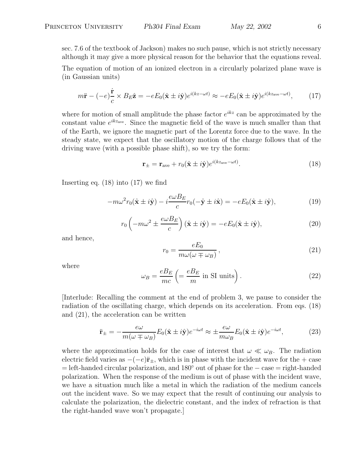sec. 7.6 of the textbook of Jackson) makes no such pause, which is not strictly necessary although it may give a more physical reason for the behavior that the equations reveal.

The equation of motion of an ionized electron in a circularly polarized plane wave is (in Gaussian units)

$$
m\ddot{\mathbf{r}} - (-e)\frac{\dot{\mathbf{r}}}{c} \times B_E \hat{\mathbf{z}} = -eE_0(\hat{\mathbf{x}} \pm i\hat{\mathbf{y}})e^{i(kz - \omega t)} \approx -eE_0(\hat{\mathbf{x}} \pm i\hat{\mathbf{y}})e^{i(kz_{\text{ave}} - \omega t)},\tag{17}
$$

where for motion of small amplitude the phase factor  $e^{ikz}$  can be approximated by the constant value  $e^{ikz_{ave}}$ . Since the magnetic field of the wave is much smaller than that of the Earth, we ignore the magnetic part of the Lorentz force due to the wave. In the steady state, we expect that the oscillatory motion of the charge follows that of the driving wave (with a possible phase shift), so we try the form:

$$
\mathbf{r}_{\pm} = \mathbf{r}_{\text{ave}} + r_0 (\hat{\mathbf{x}} \pm i\hat{\mathbf{y}}) e^{i(kz_{\text{ave}} - \omega t)}.
$$
 (18)

Inserting eq.  $(18)$  into  $(17)$  we find

$$
-m\omega^2 r_0(\hat{\mathbf{x}} \pm i\hat{\mathbf{y}}) - i\frac{e\omega B_E}{c}r_0(-\hat{\mathbf{y}} \pm i\hat{\mathbf{x}}) = -eE_0(\hat{\mathbf{x}} \pm i\hat{\mathbf{y}}),\tag{19}
$$

$$
r_0\left(-m\omega^2 \pm \frac{e\omega B_E}{c}\right)(\hat{\mathbf{x}} \pm i\hat{\mathbf{y}}) = -eE_0(\hat{\mathbf{x}} \pm i\hat{\mathbf{y}}),\tag{20}
$$

and hence,

$$
r_0 = \frac{eE_0}{m\omega(\omega \mp \omega_B)},\tag{21}
$$

where

$$
\omega_B = \frac{eB_E}{mc} \left( = \frac{eB_E}{m} \text{ in SI units} \right). \tag{22}
$$

[Interlude: Recalling the comment at the end of problem 3, we pause to consider the radiation of the oscillating charge, which depends on its acceleration. From eqs. (18) and (21), the acceleration can be written

$$
\ddot{\mathbf{r}}_{\pm} = -\frac{e\omega}{m(\omega \mp \omega_B)} E_0(\hat{\mathbf{x}} \pm i\hat{\mathbf{y}}) e^{-i\omega t} \approx \pm \frac{e\omega}{m\omega_B} E_0(\hat{\mathbf{x}} \pm i\hat{\mathbf{y}}) e^{-i\omega t},\tag{23}
$$

where the approximation holds for the case of interest that  $\omega \ll \omega_B$ . The radiation electric field varies as  $-(-e)\ddot{\mathbf{r}}_+$ , which is in phase with the incident wave for the + case = left-handed circular polarization, and 180◦ out of phase for the − case = right-handed polarization. When the response of the medium is out of phase with the incident wave, we have a situation much like a metal in which the radiation of the medium cancels out the incident wave. So we may expect that the result of continuing our analysis to calculate the polarization, the dielectric constant, and the index of refraction is that the right-handed wave won't propagate.]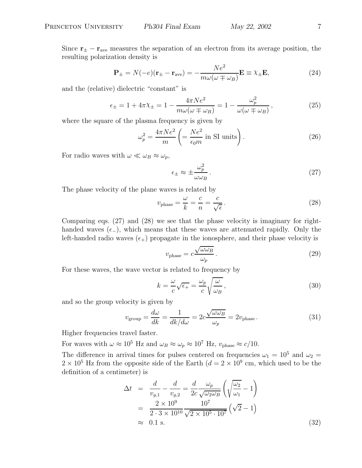Since  $\mathbf{r}_{\pm} - \mathbf{r}_{\text{ave}}$  measures the separation of an electron from its average position, the resulting polarization density is

$$
\mathbf{P}_{\pm} = N(-e)(\mathbf{r}_{\pm} - \mathbf{r}_{\text{ave}}) = -\frac{Ne^2}{m\omega(\omega \mp \omega_B)}\mathbf{E} \equiv \chi_{\pm}\mathbf{E},\tag{24}
$$

and the (relative) dielectric "constant" is

$$
\epsilon_{\pm} = 1 + 4\pi \chi_{\pm} = 1 - \frac{4\pi Ne^2}{m\omega(\omega \mp \omega_B)} = 1 - \frac{\omega_p^2}{\omega(\omega \mp \omega_B)},
$$
\n(25)

where the square of the plasma frequency is given by

$$
\omega_p^2 = \frac{4\pi Ne^2}{m} \left( = \frac{Ne^2}{\epsilon_0 m} \text{ in SI units} \right). \tag{26}
$$

For radio waves with  $\omega \ll \omega_B \approx \omega_p$ ,

$$
\epsilon_{\pm} \approx \pm \frac{\omega_p^2}{\omega \omega_B} \,. \tag{27}
$$

The phase velocity of the plane waves is related by

$$
v_{\text{phase}} = \frac{\omega}{k} = \frac{c}{n} = \frac{c}{\sqrt{\epsilon}}.
$$
\n(28)

Comparing eqs. (27) and (28) we see that the phase velocity is imaginary for righthanded waves  $(\epsilon_-)$ , which means that these waves are attenuated rapidly. Only the left-handed radio waves  $(\epsilon_+)$  propagate in the ionosphere, and their phase velocity is

$$
v_{\text{phase}} = c \frac{\sqrt{\omega \omega_B}}{\omega_p} \,. \tag{29}
$$

For these waves, the wave vector is related to frequency by

$$
k = \frac{\omega}{c}\sqrt{\epsilon_{+}} = \frac{\omega_{p}}{c}\sqrt{\frac{\omega}{\omega_{B}}},
$$
\n(30)

and so the group velocity is given by

$$
v_{\text{group}} = \frac{d\omega}{dk} = \frac{1}{dk/d\omega} = 2c \frac{\sqrt{\omega \omega_B}}{\omega_p} = 2v_{\text{phase}}.
$$
 (31)

Higher frequencies travel faster.

For waves with  $\omega \approx 10^5$  Hz and  $\omega_B \approx \omega_p \approx 10^7$  Hz,  $v_{phase} \approx c/10$ .

The difference in arrival times for pulses centered on frequencies  $\omega_1 = 10^5$  and  $\omega_2 =$  $2 \times 10^5$  Hz from the opposite side of the Earth  $(d = 2 \times 10^9$  cm, which used to be the definition of a centimeter) is

$$
\Delta t = \frac{d}{v_{g,1}} - \frac{d}{v_{g,2}} = \frac{d}{2c} \frac{\omega_p}{\sqrt{\omega_2 \omega_B}} \left( \sqrt{\frac{\omega_2}{\omega_1}} - 1 \right)
$$
  
= 
$$
\frac{2 \times 10^9}{2 \cdot 3 \times 10^{10}} \frac{10^7}{\sqrt{2 \times 10^5 \cdot 10^7}} \left( \sqrt{2} - 1 \right)
$$
  
\approx 0.1 s. (32)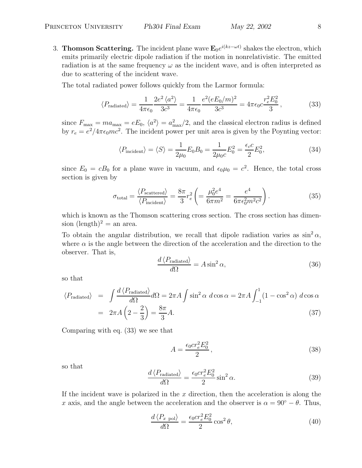3. **Thomson Scattering.** The incident plane wave  $\mathbf{E}_0 e^{i(kz-\omega t)}$  shakes the electron, which emits primarily electric dipole radiation if the motion in nonrelativistic. The emitted radiation is at the same frequency  $\omega$  as the incident wave, and is often interpreted as due to scattering of the incident wave.

The total radiated power follows quickly from the Larmor formula:

$$
\langle P_{\text{radiated}} \rangle = \frac{1}{4\pi\epsilon_0} \frac{2e^2 \langle a^2 \rangle}{3c^3} = \frac{1}{4\pi\epsilon_0} \frac{e^2 (eE_0/m)^2}{3c^3} = 4\pi\epsilon_0 c \frac{r_e^2 E_0^2}{3},\tag{33}
$$

since  $F_{\text{max}} = ma_{\text{max}} = eE_0$ ,  $\langle a^2 \rangle = a_{\text{max}}^2/2$ , and the classical electron radius is defined by  $r_e = e^2/4\pi\epsilon_0 mc^2$ . The incident power per unit area is given by the Poynting vector:

$$
\langle P_{\text{incident}} \rangle = \langle S \rangle = \frac{1}{2\mu_0} E_0 B_0 = \frac{1}{2\mu_0 c} E_0^2 = \frac{\epsilon_c c}{2} E_0^2,\tag{34}
$$

since  $E_0 = cB_0$  for a plane wave in vacuum, and  $\epsilon_0\mu_0 = c^2$ . Hence, the total cross section is given by

$$
\sigma_{\text{total}} = \frac{\langle P_{\text{scattered}} \rangle}{\langle P_{\text{incident}} \rangle} = \frac{8\pi}{3} r_e^2 \left( = \frac{\mu_0^2 e^4}{6\pi m^2} = \frac{e^4}{6\pi \epsilon_0^2 m^2 c^2} \right). \tag{35}
$$

which is known as the Thomson scattering cross section. The cross section has dimension  $(\text{length})^2 =$  an area.

To obtain the angular distribution, we recall that dipole radiation varies as  $\sin^2 \alpha$ , where  $\alpha$  is the angle between the direction of the acceleration and the direction to the observer. That is,

$$
\frac{d\left\langle P_{\text{radiated}}\right\rangle}{d\Omega} = A\sin^2\alpha,\tag{36}
$$

so that

$$
\langle P_{\text{radiated}} \rangle = \int \frac{d \langle P_{\text{radiated}} \rangle}{d\Omega} d\Omega = 2\pi A \int \sin^2 \alpha \, d\cos \alpha = 2\pi A \int_{-1}^{1} (1 - \cos^2 \alpha) \, d\cos \alpha
$$

$$
= 2\pi A \left( 2 - \frac{2}{3} \right) = \frac{8\pi}{3} A. \tag{37}
$$

Comparing with eq. (33) we see that

$$
A = \frac{\epsilon_0 c r_e^2 E_0^2}{2},\tag{38}
$$

so that

$$
\frac{d\left\langle P_{\text{radiated}}\right\rangle}{d\Omega} = \frac{\epsilon_0 cr_e^2 E_0^2}{2} \sin^2 \alpha. \tag{39}
$$

If the incident wave is polarized in the  $x$  direction, then the acceleration is along the x axis, and the angle between the acceleration and the observer is  $\alpha = 90^{\circ} - \theta$ . Thus,

$$
\frac{d\left\langle P_{x\text{ pol}}\right\rangle}{d\Omega} = \frac{\epsilon_0 cr_e^2 E_0^2}{2} \cos^2 \theta,\tag{40}
$$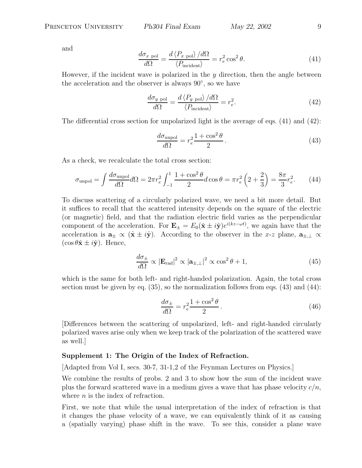and

$$
\frac{d\sigma_{x \text{ pol}}}{d\Omega} = \frac{d \left\langle P_{x \text{ pol}} \right\rangle / d\Omega}{\left\langle P_{\text{incident}} \right\rangle} = r_e^2 \cos^2 \theta. \tag{41}
$$

However, if the incident wave is polarized in the  $y$  direction, then the angle between the acceleration and the observer is always 90◦, so we have

$$
\frac{d\sigma_{y\text{ pol}}}{d\Omega} = \frac{d\left\langle P_{y\text{ pol}}\right\rangle/d\Omega}{\left\langle P_{\text{incident}}\right\rangle} = r_e^2.
$$
 (42)

The differential cross section for unpolarized light is the average of eqs. (41) and (42):

$$
\frac{d\sigma_{\text{unpol}}}{d\Omega} = r_e^2 \frac{1 + \cos^2 \theta}{2} \,. \tag{43}
$$

As a check, we recalculate the total cross section:

$$
\sigma_{\text{unpol}} = \int \frac{d\sigma_{\text{unpol}}}{d\Omega} d\Omega = 2\pi r_e^2 \int_{-1}^1 \frac{1 + \cos^2 \theta}{2} d\cos \theta = \pi r_e^2 \left( 2 + \frac{2}{3} \right) = \frac{8\pi}{3} r_e^2. \tag{44}
$$

To discuss scattering of a circularly polarized wave, we need a bit more detail. But it suffices to recall that the scattered intensity depends on the square of the electric (or magnetic) field, and that the radiation electric field varies as the perpendicular component of the acceleration. For  $\mathbf{E}_{\pm} = E_0(\hat{\mathbf{x}} \pm i\hat{\mathbf{y}})e^{i(kz-\omega t)}$ , we again have that the acceleration is  $\mathbf{a}_{\pm} \propto (\hat{\mathbf{x}} \pm i\hat{\mathbf{y}})$ . According to the observer in the x-z plane,  $\mathbf{a}_{\pm,\perp} \propto$  $(\cos \theta \hat{\mathbf{x}} \pm i\hat{\mathbf{y}})$ . Hence,

$$
\frac{d\sigma_{\pm}}{d\Omega} \propto |\mathbf{E}_{\text{rad}}|^2 \propto |\mathbf{a}_{\pm,\perp}|^2 \propto \cos^2 \theta + 1,\tag{45}
$$

which is the same for both left- and right-handed polarization. Again, the total cross section must be given by eq.  $(35)$ , so the normalization follows from eqs.  $(43)$  and  $(44)$ :

$$
\frac{d\sigma_{\pm}}{d\Omega} = r_e^2 \frac{1 + \cos^2 \theta}{2} \,. \tag{46}
$$

[Differences between the scattering of unpolarized, left- and right-handed circularly polarized waves arise only when we keep track of the polarization of the scattered wave as well.]

#### **Supplement 1: The Origin of the Index of Refraction.**

[Adapted from Vol I, secs. 30-7, 31-1,2 of the Feynman Lectures on Physics.]

We combine the results of probs. 2 and 3 to show how the sum of the incident wave plus the forward scattered wave in a medium gives a wave that has phase velocity  $c/n$ , where  $n$  is the index of refraction.

First, we note that while the usual interpretation of the index of refraction is that it changes the phase velocity of a wave, we can equivalently think of it as causing a (spatially varying) phase shift in the wave. To see this, consider a plane wave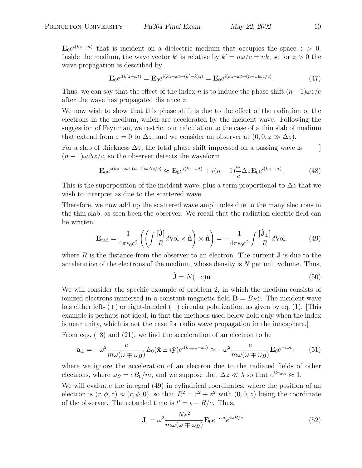$\mathbf{E}_0e^{i(kz-\omega t)}$  that is incident on a dielectric medium that occupies the space  $z > 0$ . Inside the medium, the wave vector k' is relative by  $k' = n\omega/c = nk$ , so for  $z > 0$  the wave propagation is described by

$$
\mathbf{E}_0 e^{i(k'z - \omega t)} = \mathbf{E}_0 e^{i(kz - \omega t + (k'-k)z)} = \mathbf{E}_0 e^{i(kz - \omega t + (n-1)\omega z/c)}.
$$
 (47)

Thus, we can say that the effect of the index n is to induce the phase shift  $(n-1)\omega z/c$ after the wave has propagated distance z.

We now wish to show that this phase shift is due to the effect of the radiation of the electrons in the medium, which are accelerated by the incident wave. Following the suggestion of Feynman, we restrict our calculation to the case of a thin slab of medium that extend from  $z = 0$  to  $\Delta z$ , and we consider an observer at  $(0, 0, z \gg \Delta z)$ .

For a slab of thickness  $\Delta z$ , the total phase shift impressed on a passing wave is  $(n-1)\omega\Delta z/c$ , so the observer detects the waveform

$$
\mathbf{E}_0 e^{i(kz - \omega t + (n-1)\omega \Delta z/c)} \approx \mathbf{E}_0 e^{i(kz - \omega t)} + i(n-1)\frac{\omega}{c} \Delta z \mathbf{E}_0 e^{i(kz - \omega t)}.
$$
 (48)

This is the superposition of the incident wave, plus a term proportional to  $\Delta z$  that we wish to interpret as due to the scattered wave.

Therefore, we now add up the scattered wave amplitudes due to the many electrons in the thin slab, as seen been the observer. We recall that the radiation electric field can be written

$$
\mathbf{E}_{\rm rad} = \frac{1}{4\pi\epsilon_0 c^2} \left( \left( \int \frac{[\mathbf{j}]}{R} d\mathrm{Vol} \times \hat{\mathbf{n}} \right) \times \hat{\mathbf{n}} \right) = -\frac{1}{4\pi\epsilon_0 c^2} \int \frac{[\mathbf{j}_{\perp}]}{R} d\mathrm{Vol},\tag{49}
$$

where  $R$  is the distance from the observer to an electron. The current  $J$  is due to the acceleration of the electrons of the medium, whose density is N per unit volume. Thus,

$$
\dot{\mathbf{J}} = N(-e)\mathbf{a} \tag{50}
$$

We will consider the specific example of problem 2, in which the medium consists of ionized electrons immersed in a constant magnetic field  $\mathbf{B} = B_E \hat{z}$ . The incident wave has either left-  $(+)$  or right-handed  $(-)$  circular polarization, as given by eq. (1). [This example is perhaps not ideal, in that the methods used below hold only when the index is near unity, which is not the case for radio wave propagation in the ionosphere.]

From eqs. (18) and (21), we find the acceleration of an electron to be

$$
\mathbf{a}_{\pm} = -\omega^2 \frac{e}{m\omega(\omega \mp \omega_B)} E_0(\hat{\mathbf{x}} \pm i\hat{\mathbf{y}}) e^{i(kz_{\text{ave}} - \omega t)} \approx -\omega^2 \frac{e}{m\omega(\omega \mp \omega_B)} \mathbf{E}_0 e^{-i\omega t}, \quad (51)
$$

where we ignore the acceleration of an electron due to the radiated fields of other electrons, where  $\omega_B = eB_0/m$ , and we suppose that  $\Delta z \ll \lambda$  so that  $e^{ikz_{\text{ave}}} \approx 1$ .

We will evaluate the integral  $(49)$  in cylindrical coordinates, where the position of an electron is  $(r, \phi, z) \approx (r, \phi, 0)$ , so that  $R^2 = r^2 + z^2$  with  $(0, 0, z)$  being the coordinate of the observer. The retarded time is  $t' = t - R/c$ . Thus,

$$
[\dot{\mathbf{J}}] = \omega^2 \frac{Ne^2}{m\omega(\omega \mp \omega_B)} \mathbf{E}_0 e^{-i\omega t} e^{i\omega R/c}
$$
\n(52)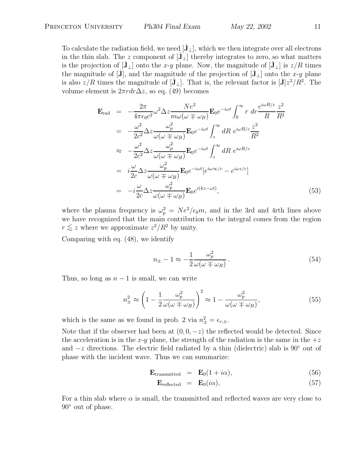To calculate the radiation field, we need  $[J_\perp]$ , which we then integrate over all electrons in the thin slab. The z component of  $[\mathbf{J}_\perp]$  thereby integrates to zero, so what matters is the projection of  $[\mathbf{J}_{\perp}]$  onto the x-y plane. Now, the magnitude of  $[\mathbf{J}_{\perp}]$  is  $z/R$  times the magnitude of  $[J]$ , and the magnitude of the projection of  $[J_{\perp}]$  onto the x-y plane is also  $z/R$  times the magnitude of  $[\mathbf{J}_\perp]$ . That is, the relevant factor is  $[\mathbf{J}]z^2/R^2$ . The volume element is  $2\pi r dr \Delta z$ , so eq. (49) becomes

$$
\mathbf{E}_{\text{rad}} = -\frac{2\pi}{4\pi\epsilon_0 c^2} \omega^2 \Delta z \frac{Ne^2}{m\omega(\omega \mp \omega_B)} \mathbf{E}_0 e^{-i\omega t} \int_0^\infty r \, dr \frac{e^{i\omega R/c}}{R} \frac{z^2}{R^2}
$$
\n
$$
= -\frac{\omega^2}{2c^2} \Delta z \frac{\omega_p^2}{\omega(\omega \mp \omega_B)} \mathbf{E}_0 e^{-i\omega t} \int_z^\infty dR \, e^{i\omega R/c} \frac{z^2}{R^2}
$$
\n
$$
\approx -\frac{\omega^2}{2c^2} \Delta z \frac{\omega_p^2}{\omega(\omega \mp \omega_B)} \mathbf{E}_0 e^{-i\omega t} \int_z^\infty dR \, e^{i\omega R/c}
$$
\n
$$
= i \frac{\omega}{2c} \Delta z \frac{\omega_p^2}{\omega(\omega \mp \omega_B)} \mathbf{E}_0 e^{-i\omega t} [e^{i\omega \infty/c} - e^{i\omega z/c}]
$$
\n
$$
= -i \frac{\omega}{2c} \Delta z \frac{\omega_p^2}{\omega(\omega \mp \omega_B)} \mathbf{E}_0 e^{i(kz - \omega t)}, \qquad (53)
$$

where the plasma frequency is  $\omega_p^2 = Ne^2/\epsilon_0 m$ , and in the 3rd and 4rth lines above<br>we have recognized that the main contribution to the integral comes from the region we have recognized that the main contribution to the integral comes from the region  $r \lesssim z$  where we approximate  $z^2/R^2$  by unity.

Comparing with eq. (48), we identify

$$
n_{\pm} - 1 \approx -\frac{1}{2} \frac{\omega_p^2}{\omega(\omega \mp \omega_B)}.
$$
\n(54)

Thus, so long as  $n-1$  is small, we can write

$$
n_{\pm}^2 \approx \left(1 - \frac{1}{2} \frac{\omega_p^2}{\omega(\omega \mp \omega_B)}\right)^2 \approx 1 - \frac{\omega_p^2}{\omega(\omega \mp \omega_B)},\tag{55}
$$

which is the same as we found in prob. 2 via  $n_{\pm}^2 = \epsilon_{r,\pm}$ .

Note that if the observer had been at  $(0, 0, -z)$  the reflected would be detected. Since the acceleration is in the x-y plane, the strength of the radiation is the same in the  $+z$ and  $-z$  directions. The electric field radiated by a thin (dielectric) slab is 90 $\degree$  out of phase with the incident wave. Thus we can summarize:

$$
\mathbf{E}_{\text{transmitted}} = \mathbf{E}_0 (1 + i\alpha), \tag{56}
$$

$$
\mathbf{E}_{\text{reflected}} = \mathbf{E}_0(i\alpha), \tag{57}
$$

For a thin slab where  $\alpha$  is small, the transmitted and reflected waves are very close to  $90^\circ$  out of phase.